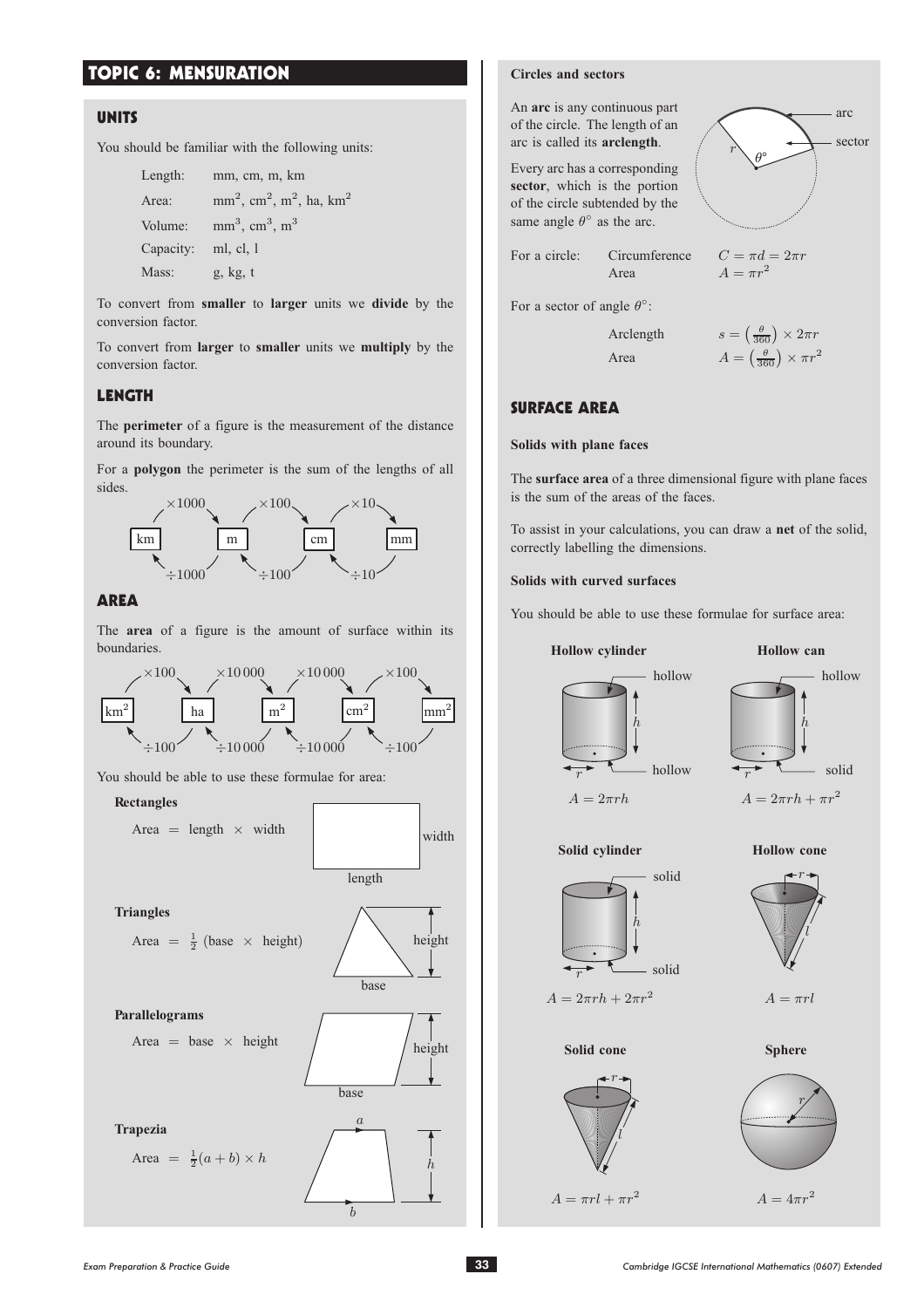# TOPIC 6: MENSURATION

### **UNITS**

You should be familiar with the following units:

```
Length: mm, cm, m, km
Area: mm^2, cm<sup>2</sup>, m<sup>2</sup>, ha, km<sup>2</sup>
Volume: mm^3, cm^3, m^3Capacity: ml, cl, l
Mass: g, kg, t
```
To convert from **smaller** to **larger** units we **divide** by the conversion factor.

To convert from **larger** to **smaller** units we **multiply** by the conversion factor.

### LENGTH

The **perimeter** of a figure is the measurement of the distance around its boundary.

For a **polygon** the perimeter is the sum of the lengths of all sides.



### AREA

The **area** of a figure is the amount of surface within its boundaries.



You should be able to use these formulae for area:

**Rectangles**

Area  $=$  length  $\times$  width



### **Circles and sectors**

An **arc** is any continuous part of the circle. The length of an arc is called its **arclength**.

Every arc has a corresponding **sector**, which is the portion of the circle subtended by the same angle  $\theta^{\circ}$  as the arc.



| For a circle: | Circumference |
|---------------|---------------|
|               | Area          |

 $C = \pi d = 2\pi r$  $A = \pi r^2$ 

For a sector of angle  $\theta$ <sup>o</sup>:

Arclength  $s = \left(\frac{\theta}{360}\right) \times 2\pi r$ Area  $A = \left(\frac{\theta}{360}\right) \times \pi r^2$ 

## SURFACE AREA

#### **Solids with plane faces**

The **surface area** of a three dimensional figure with plane faces is the sum of the areas of the faces.

To assist in your calculations, you can draw a **net** of the solid, correctly labelling the dimensions.

#### **Solids with curved surfaces**

You should be able to use these formulae for surface area:



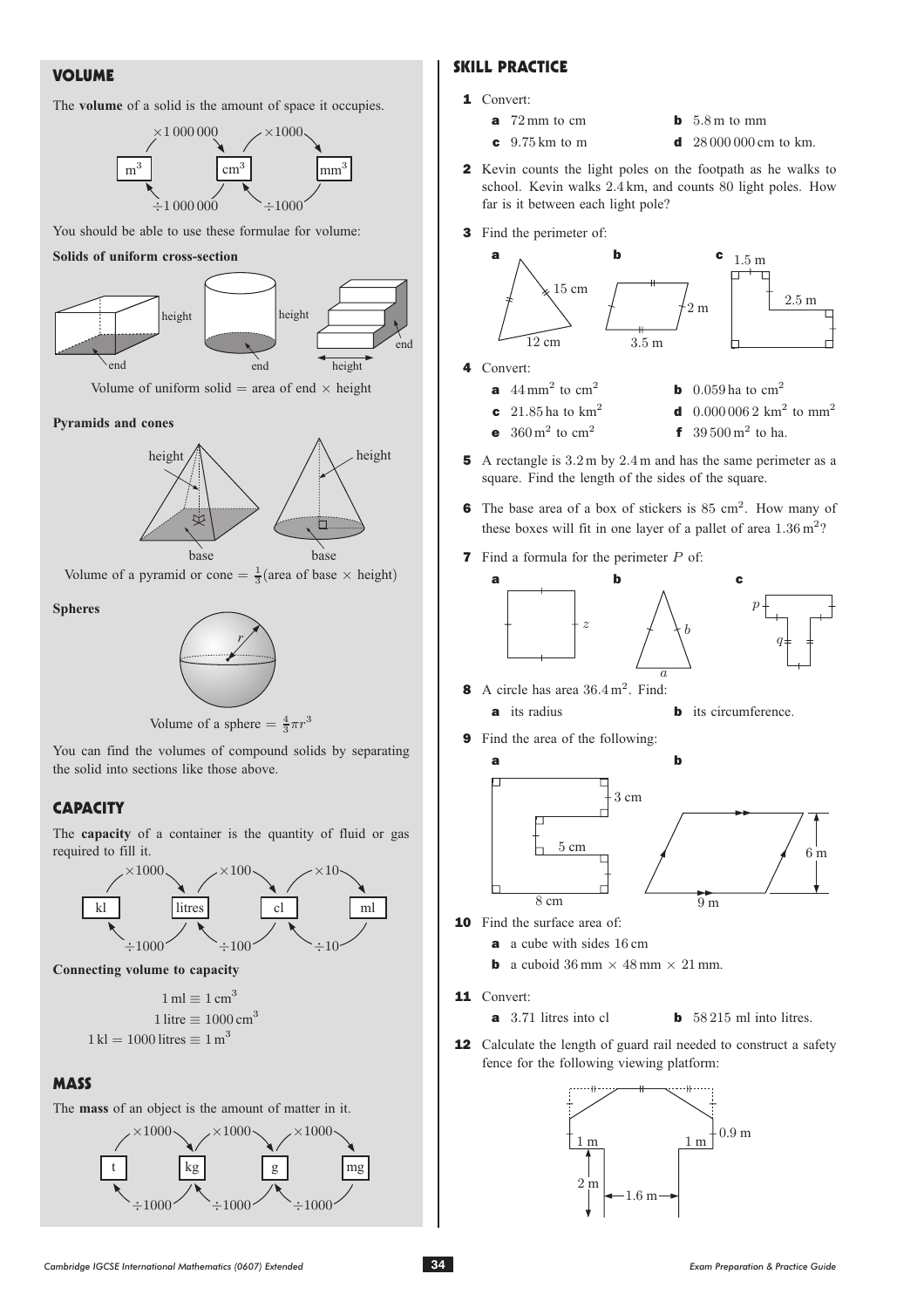# VOLUME

### The **volume** of a solid is the amount of space it occupies.



You should be able to use these formulae for volume:

#### **Solids of uniform cross-section**



Volume of uniform solid  $=$  area of end  $\times$  height

#### **Pyramids and cones**



Volume of a pyramid or cone =  $\frac{1}{3}$  (area of base  $\times$  height)

#### **Spheres**





You can find the volumes of compound solids by separating the solid into sections like those above.

# **CAPACITY**

The **capacity** of a container is the quantity of fluid or gas required to fill it.





 $1 \text{ ml} = 1 \text{ cm}^3$ 1 litre  $\equiv 1000$  cm<sup>3</sup>  $1 \text{ k} = 1000$  litres  $= 1 \text{ m}^3$ 

## **MASS**

The **mass** of an object is the amount of matter in it.



# SKILL PRACTICE

- 1 Convert:
	-
	- **a** 72 mm to cm **b** 5.8 m to mm<br>**c** 9.75 km to m **d** 28 000 000 cm
		- d  $28000000$  cm to km.
- 2 Kevin counts the light poles on the footpath as he walks to school. Kevin walks 2:4 km, and counts 80 light poles. How far is it between each light pole?
- 3 Find the perimeter of:



- 4 Convert:
	- **a**  $44 \text{ mm}^2$  to cm<sup>2</sup> **b** 0.059 ha to cm<sup>2</sup><br>**c**  $21.85 \text{ ha to km}^2$  **d** 0.000 0062 km<sup>2</sup>
		-
	- **c** 21.85 ha to km<sup>2</sup> **d** 0.000 006 2 km<sup>2</sup> to mm<sup>2</sup><br>**e** 360 m<sup>2</sup> to cm<sup>2</sup> **f** 39.500 m<sup>2</sup> to ha. **f** 39.500 m<sup>2</sup> to ha.
- 5 A rectangle is 3.2 m by 2.4 m and has the same perimeter as a square. Find the length of the sides of the square.
- 6 The base area of a box of stickers is 85 cm<sup>2</sup>. How many of these boxes will fit in one layer of a pallet of area  $1.36 \text{ m}^2$ ?
- **7** Find a formula for the perimeter  $P$  of:



8 A circle has area  $36.4 \text{ m}^2$ . Find:<br>a its radius



9 Find the area of the following:



- 10 Find the surface area of:
	- a a cube with sides 16 cm
	- **b** a cuboid 36 mm  $\times$  48 mm  $\times$  21 mm.

11 Convert:

- $a$  3.71 litres into cl
- **b**  $58\,215$  ml into litres.
- 12 Calculate the length of guard rail needed to construct a safety fence for the following viewing platform:

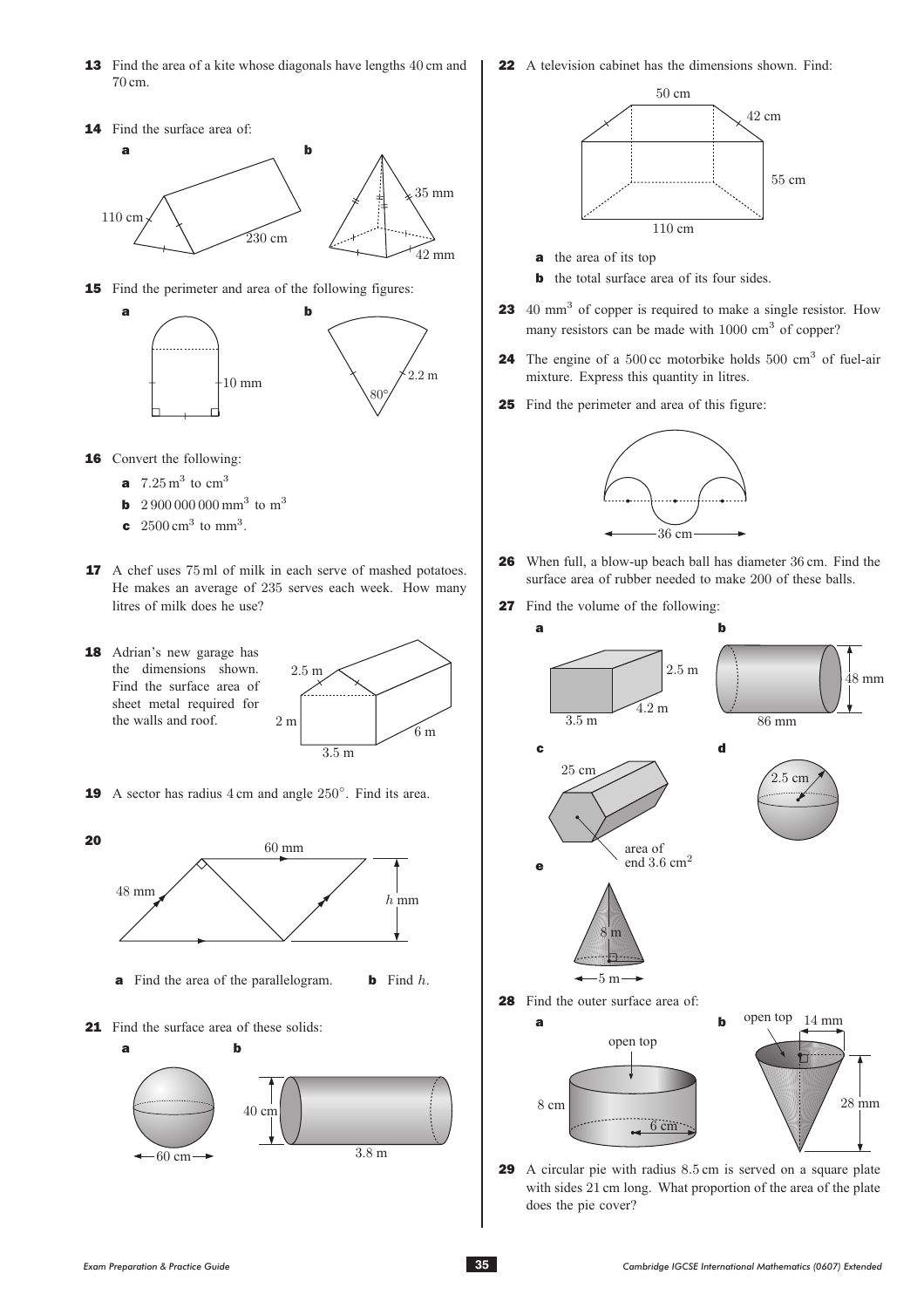- **13** Find the area of a kite whose diagonals have lengths 40 cm and 70 cm.
- 14 Find the surface area of: a b 110 cm 230 cm 35 mm 42 mm
- 15 Find the perimeter and area of the following figures:



- **16** Convert the following:
	- **a**  $7.25 \text{ m}^3$  to  $\text{cm}^3$
	- **b** 2 900 000 000 mm<sup>3</sup> to m<sup>3</sup>
	- **c**  $2500 \text{ cm}^3$  to mm<sup>3</sup>.
- **17** A chef uses 75 ml of milk in each serve of mashed potatoes. He makes an average of 235 serves each week. How many litres of milk does he use?
- 18 Adrian's new garage has the dimensions shown. Find the surface area of sheet metal required for the walls and roof.



**19** A sector has radius  $4 \text{ cm}$  and angle  $250^\circ$ . Find its area.



21 Find the surface area of these solids:



22 A television cabinet has the dimensions shown. Find:



- **a** the area of its top
- **b** the total surface area of its four sides.
- **23** 40 mm<sup>3</sup> of copper is required to make a single resistor. How many resistors can be made with 1000 cm<sup>3</sup> of copper?
- **24** The engine of a 500 cc motorbike holds 500 cm<sup>3</sup> of fuel-air mixture. Express this quantity in litres.
- 25 Find the perimeter and area of this figure:



- <sup>26</sup> When full, a blow-up beach ball has diameter 36 cm. Find the surface area of rubber needed to make 200 of these balls.
- 27 Find the volume of the following:



29 A circular pie with radius 8.5 cm is served on a square plate with sides 21 cm long. What proportion of the area of the plate does the pie cover?